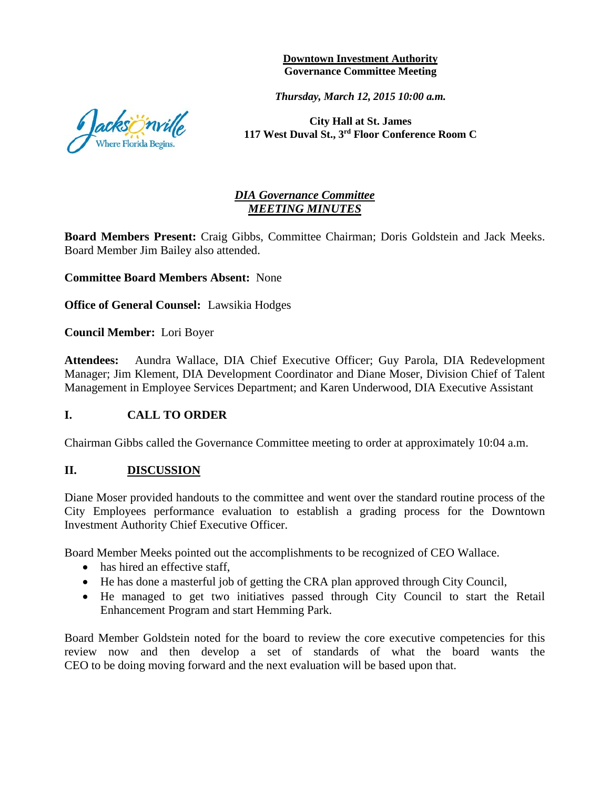**Downtown Investment Authority Governance Committee Meeting** 

*Thursday, March 12, 2015 10:00 a.m.*

**City Hall at St. James 117 West Duval St., 3rd Floor Conference Room C**

## *DIA Governance Committee MEETING MINUTES*

**Board Members Present:** Craig Gibbs, Committee Chairman; Doris Goldstein and Jack Meeks. Board Member Jim Bailey also attended.

**Committee Board Members Absent:** None

**Office of General Counsel:** Lawsikia Hodges

**Council Member:** Lori Boyer

**Attendees:** Aundra Wallace, DIA Chief Executive Officer; Guy Parola, DIA Redevelopment Manager; Jim Klement, DIA Development Coordinator and Diane Moser, Division Chief of Talent Management in Employee Services Department; and Karen Underwood, DIA Executive Assistant

## **I. CALL TO ORDER**

Chairman Gibbs called the Governance Committee meeting to order at approximately 10:04 a.m.

### **II. DISCUSSION**

Diane Moser provided handouts to the committee and went over the standard routine process of the City Employees performance evaluation to establish a grading process for the Downtown Investment Authority Chief Executive Officer.

Board Member Meeks pointed out the accomplishments to be recognized of CEO Wallace.

- has hired an effective staff.
- He has done a masterful job of getting the CRA plan approved through City Council,
- He managed to get two initiatives passed through City Council to start the Retail Enhancement Program and start Hemming Park.

Board Member Goldstein noted for the board to review the core executive competencies for this review now and then develop a set of standards of what the board wants the CEO to be doing moving forward and the next evaluation will be based upon that.

acksönville Where Florida Begins.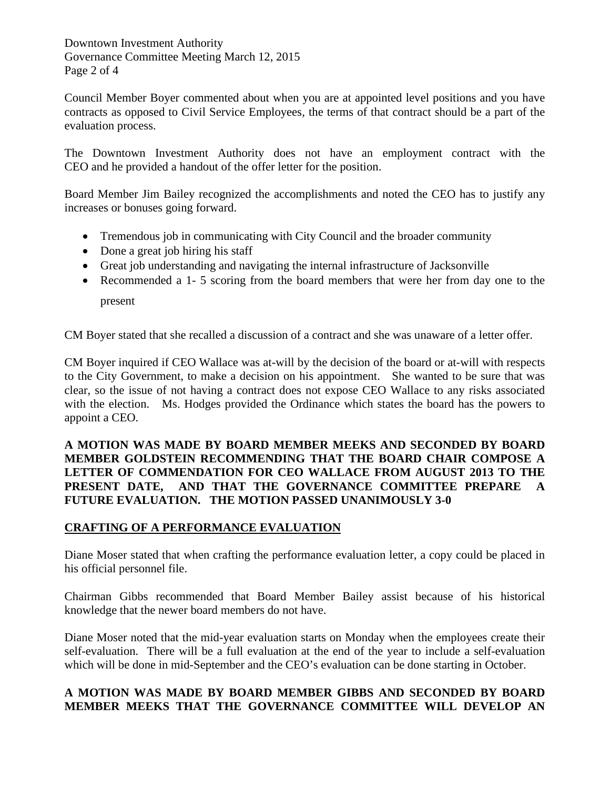Downtown Investment Authority Governance Committee Meeting March 12, 2015 Page 2 of 4

Council Member Boyer commented about when you are at appointed level positions and you have contracts as opposed to Civil Service Employees, the terms of that contract should be a part of the evaluation process.

The Downtown Investment Authority does not have an employment contract with the CEO and he provided a handout of the offer letter for the position.

Board Member Jim Bailey recognized the accomplishments and noted the CEO has to justify any increases or bonuses going forward.

- Tremendous job in communicating with City Council and the broader community
- Done a great job hiring his staff
- Great job understanding and navigating the internal infrastructure of Jacksonville
- Recommended a 1- 5 scoring from the board members that were her from day one to the present

CM Boyer stated that she recalled a discussion of a contract and she was unaware of a letter offer.

CM Boyer inquired if CEO Wallace was at-will by the decision of the board or at-will with respects to the City Government, to make a decision on his appointment. She wanted to be sure that was clear, so the issue of not having a contract does not expose CEO Wallace to any risks associated with the election. Ms. Hodges provided the Ordinance which states the board has the powers to appoint a CEO.

## **A MOTION WAS MADE BY BOARD MEMBER MEEKS AND SECONDED BY BOARD MEMBER GOLDSTEIN RECOMMENDING THAT THE BOARD CHAIR COMPOSE A LETTER OF COMMENDATION FOR CEO WALLACE FROM AUGUST 2013 TO THE PRESENT DATE, AND THAT THE GOVERNANCE COMMITTEE PREPARE A FUTURE EVALUATION. THE MOTION PASSED UNANIMOUSLY 3-0**

# **CRAFTING OF A PERFORMANCE EVALUATION**

Diane Moser stated that when crafting the performance evaluation letter, a copy could be placed in his official personnel file.

Chairman Gibbs recommended that Board Member Bailey assist because of his historical knowledge that the newer board members do not have.

Diane Moser noted that the mid-year evaluation starts on Monday when the employees create their self-evaluation. There will be a full evaluation at the end of the year to include a self-evaluation which will be done in mid-September and the CEO's evaluation can be done starting in October.

# **A MOTION WAS MADE BY BOARD MEMBER GIBBS AND SECONDED BY BOARD MEMBER MEEKS THAT THE GOVERNANCE COMMITTEE WILL DEVELOP AN**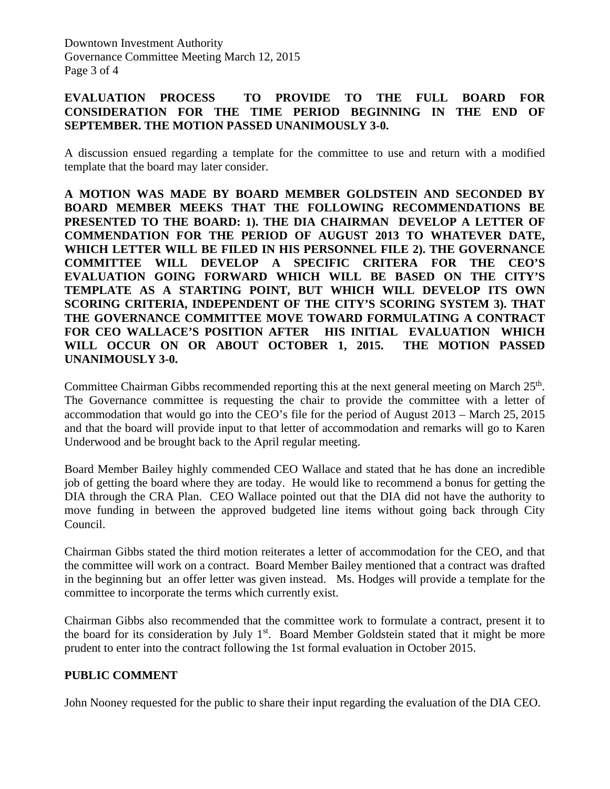## **EVALUATION PROCESS TO PROVIDE TO THE FULL BOARD FOR CONSIDERATION FOR THE TIME PERIOD BEGINNING IN THE END OF SEPTEMBER. THE MOTION PASSED UNANIMOUSLY 3-0.**

A discussion ensued regarding a template for the committee to use and return with a modified template that the board may later consider.

**A MOTION WAS MADE BY BOARD MEMBER GOLDSTEIN AND SECONDED BY BOARD MEMBER MEEKS THAT THE FOLLOWING RECOMMENDATIONS BE PRESENTED TO THE BOARD: 1). THE DIA CHAIRMAN DEVELOP A LETTER OF COMMENDATION FOR THE PERIOD OF AUGUST 2013 TO WHATEVER DATE, WHICH LETTER WILL BE FILED IN HIS PERSONNEL FILE 2). THE GOVERNANCE COMMITTEE WILL DEVELOP A SPECIFIC CRITERA FOR THE CEO'S EVALUATION GOING FORWARD WHICH WILL BE BASED ON THE CITY'S TEMPLATE AS A STARTING POINT, BUT WHICH WILL DEVELOP ITS OWN SCORING CRITERIA, INDEPENDENT OF THE CITY'S SCORING SYSTEM 3). THAT THE GOVERNANCE COMMITTEE MOVE TOWARD FORMULATING A CONTRACT FOR CEO WALLACE'S POSITION AFTER HIS INITIAL EVALUATION WHICH WILL OCCUR ON OR ABOUT OCTOBER 1, 2015. THE MOTION PASSED UNANIMOUSLY 3-0.** 

Committee Chairman Gibbs recommended reporting this at the next general meeting on March 25<sup>th</sup>. The Governance committee is requesting the chair to provide the committee with a letter of accommodation that would go into the CEO's file for the period of August 2013 – March 25, 2015 and that the board will provide input to that letter of accommodation and remarks will go to Karen Underwood and be brought back to the April regular meeting.

Board Member Bailey highly commended CEO Wallace and stated that he has done an incredible job of getting the board where they are today. He would like to recommend a bonus for getting the DIA through the CRA Plan. CEO Wallace pointed out that the DIA did not have the authority to move funding in between the approved budgeted line items without going back through City Council.

Chairman Gibbs stated the third motion reiterates a letter of accommodation for the CEO, and that the committee will work on a contract. Board Member Bailey mentioned that a contract was drafted in the beginning but an offer letter was given instead. Ms. Hodges will provide a template for the committee to incorporate the terms which currently exist.

Chairman Gibbs also recommended that the committee work to formulate a contract, present it to the board for its consideration by July  $1<sup>st</sup>$ . Board Member Goldstein stated that it might be more prudent to enter into the contract following the 1st formal evaluation in October 2015.

## **PUBLIC COMMENT**

John Nooney requested for the public to share their input regarding the evaluation of the DIA CEO.